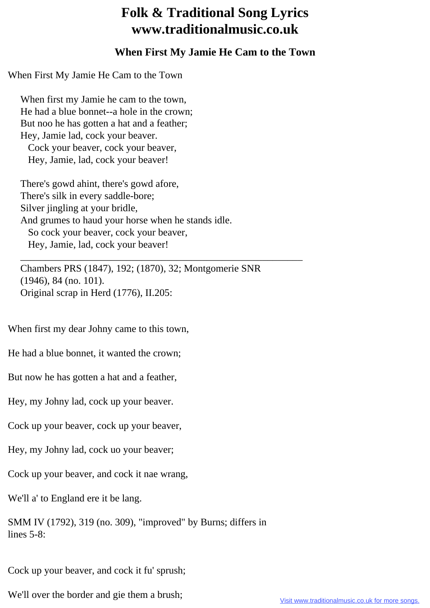## **Folk & Traditional Song Lyrics www.traditionalmusic.co.uk**

## **When First My Jamie He Cam to the Town**

When First My Jamie He Cam to the Town

 When first my Jamie he cam to the town, He had a blue bonnet--a hole in the crown; But noo he has gotten a hat and a feather; Hey, Jamie lad, cock your beaver. Cock your beaver, cock your beaver, Hey, Jamie, lad, cock your beaver!

 There's gowd ahint, there's gowd afore, There's silk in every saddle-bore; Silver jingling at your bridle, And grumes to haud your horse when he stands idle. So cock your beaver, cock your beaver, Hey, Jamie, lad, cock your beaver!

 \_\_\_\_\_\_\_\_\_\_\_\_\_\_\_\_\_\_\_\_\_\_\_\_\_\_\_\_\_\_\_\_\_\_\_\_\_\_\_\_\_\_\_\_\_\_\_\_\_\_\_\_\_\_\_\_ Chambers PRS (1847), 192; (1870), 32; Montgomerie SNR (1946), 84 (no. 101). Original scrap in Herd (1776), II.205:

When first my dear Johny came to this town,

He had a blue bonnet, it wanted the crown;

But now he has gotten a hat and a feather,

Hey, my Johny lad, cock up your beaver.

Cock up your beaver, cock up your beaver,

Hey, my Johny lad, cock uo your beaver;

Cock up your beaver, and cock it nae wrang,

We'll a' to England ere it be lang.

SMM IV (1792), 319 (no. 309), "improved" by Burns; differs in lines 5-8:

Cock up your beaver, and cock it fu' sprush;

We'll over the border and gie them a brush;